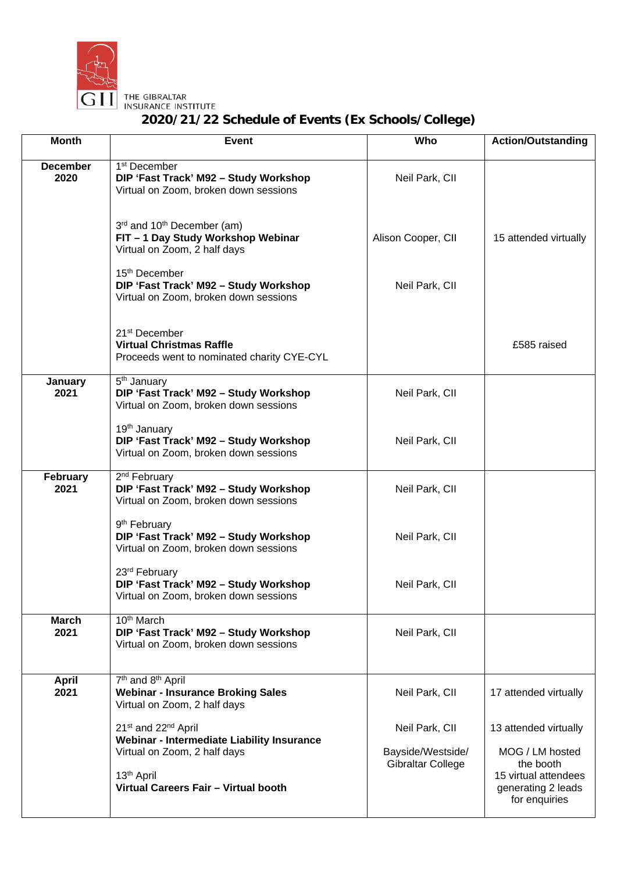

THE GIBRALTAR<br>INSURANCE INSTITUTE

## **2020/21/22 Schedule of Events (Ex Schools/College)**

| <b>Month</b>            | <b>Event</b>                                                                                                          | Who                                 | <b>Action/Outstanding</b>                                                |
|-------------------------|-----------------------------------------------------------------------------------------------------------------------|-------------------------------------|--------------------------------------------------------------------------|
| <b>December</b><br>2020 | 1 <sup>st</sup> December<br>DIP 'Fast Track' M92 - Study Workshop<br>Virtual on Zoom, broken down sessions            | Neil Park, CII                      |                                                                          |
|                         | 3rd and 10 <sup>th</sup> December (am)<br>FIT - 1 Day Study Workshop Webinar<br>Virtual on Zoom, 2 half days          | Alison Cooper, CII                  | 15 attended virtually                                                    |
|                         | 15 <sup>th</sup> December<br>DIP 'Fast Track' M92 - Study Workshop<br>Virtual on Zoom, broken down sessions           | Neil Park, CII                      |                                                                          |
|                         | 21 <sup>st</sup> December<br><b>Virtual Christmas Raffle</b><br>Proceeds went to nominated charity CYE-CYL            |                                     | £585 raised                                                              |
| January<br>2021         | 5 <sup>th</sup> January<br>DIP 'Fast Track' M92 - Study Workshop<br>Virtual on Zoom, broken down sessions             | Neil Park, CII                      |                                                                          |
|                         | 19 <sup>th</sup> January<br>DIP 'Fast Track' M92 - Study Workshop<br>Virtual on Zoom, broken down sessions            | Neil Park, CII                      |                                                                          |
| February<br>2021        | 2 <sup>nd</sup> February<br>DIP 'Fast Track' M92 - Study Workshop<br>Virtual on Zoom, broken down sessions            | Neil Park, CII                      |                                                                          |
|                         | 9 <sup>th</sup> February<br>DIP 'Fast Track' M92 - Study Workshop<br>Virtual on Zoom, broken down sessions            | Neil Park, CII                      |                                                                          |
|                         | 23rd February<br>DIP 'Fast Track' M92 - Study Workshop<br>Virtual on Zoom, broken down sessions                       | Neil Park, CII                      |                                                                          |
| <b>March</b><br>2021    | 10 <sup>th</sup> March<br>DIP 'Fast Track' M92 - Study Workshop<br>Virtual on Zoom, broken down sessions              | Neil Park, CII                      |                                                                          |
| <b>April</b><br>2021    | 7 <sup>th</sup> and 8 <sup>th</sup> April<br><b>Webinar - Insurance Broking Sales</b><br>Virtual on Zoom, 2 half days | Neil Park, CII                      | 17 attended virtually                                                    |
|                         | 21st and 22 <sup>nd</sup> April<br>Webinar - Intermediate Liability Insurance<br>Virtual on Zoom, 2 half days         | Neil Park, CII<br>Bayside/Westside/ | 13 attended virtually<br>MOG / LM hosted                                 |
|                         | 13 <sup>th</sup> April<br>Virtual Careers Fair - Virtual booth                                                        | Gibraltar College                   | the booth<br>15 virtual attendees<br>generating 2 leads<br>for enquiries |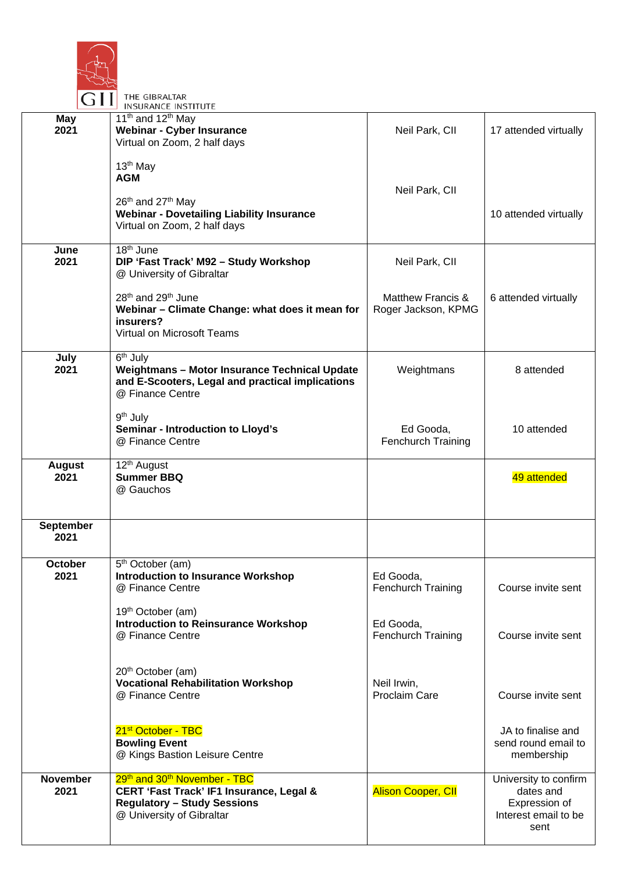

THE GIBRALTAR **INSURANCE INSTITUTE**  $11<sup>th</sup>$  and  $12<sup>th</sup>$  May **May 2021 Webinar - Cyber Insurance**  Neil Park, CII 17 attended virtually Virtual on Zoom, 2 half days 13th May **AGM** Neil Park, CII 26<sup>th</sup> and 27<sup>th</sup> May **Webinar - Dovetailing Liability Insurance** 10 attended virtually Virtual on Zoom, 2 half days  $18<sup>th</sup>$  June **June 2021 DIP 'Fast Track' M92 – Study Workshop** Neil Park, CII @ University of Gibraltar 28<sup>th</sup> and 29<sup>th</sup> June Matthew Francis & 6 attended virtually **Webinar – Climate Change: what does it mean for**  Roger Jackson, KPMG **insurers?** Virtual on Microsoft Teams **July** 6<sup>th</sup> July **2021 Weightmans – Motor Insurance Technical Update Weightmans** 8 attended **and E-Scooters, Legal and practical implications** @ Finance Centre 9th July **Seminar - Introduction to Lloyd's** Ed Gooda, 10 attended Fenchurch Training @ Finance Centre 12<sup>th</sup> August **August 2021** 49 attended **Summer BBQ**  @ Gauchos **September 2021 October** 5th October (am) **2021 Introduction to Insurance Workshop** Ed Gooda, @ Finance Centre Fenchurch Training Course invite sent 19<sup>th</sup> October (am) **Introduction to Reinsurance Workshop** Ed Gooda, Fenchurch Training @ Finance Centre Course invite sent 20th October (am) **Vocational Rehabilitation Workshop** Neil Irwin, @ Finance Centre Proclaim Care Course invite sent 21<sup>st</sup> October - TBC JA to finalise and **Bowling Event**  send round email to @ Kings Bastion Leisure Centre membership 29<sup>th</sup> and 30<sup>th</sup> November - TBC **November** University to confirm **2021 CERT 'Fast Track' IF1 Insurance, Legal & Alison Cooper, CII** dates and **Regulatory – Study Sessions** Expression of @ University of Gibraltar Interest email to be sent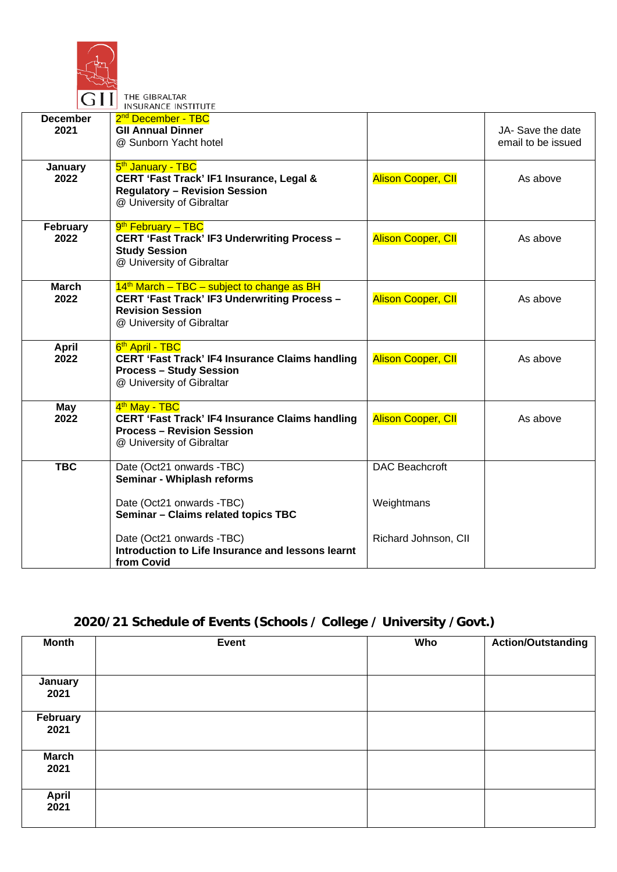

THE GIBRALTAR

|                         | INSURANCE INSTITUTE                                                                                                                                         |                           |                                         |
|-------------------------|-------------------------------------------------------------------------------------------------------------------------------------------------------------|---------------------------|-----------------------------------------|
| <b>December</b><br>2021 | 2 <sup>nd</sup> December - TBC<br><b>GII Annual Dinner</b><br>@ Sunborn Yacht hotel                                                                         |                           | JA- Save the date<br>email to be issued |
| January<br>2022         | 5 <sup>th</sup> January - TBC<br>CERT 'Fast Track' IF1 Insurance, Legal &<br><b>Regulatory - Revision Session</b><br>@ University of Gibraltar              | <b>Alison Cooper, CII</b> | As above                                |
| February<br>2022        | 9 <sup>th</sup> February - TBC<br><b>CERT 'Fast Track' IF3 Underwriting Process -</b><br><b>Study Session</b><br>@ University of Gibraltar                  | <b>Alison Cooper, CII</b> | As above                                |
| <b>March</b><br>2022    | $14th$ March – TBC – subject to change as BH<br><b>CERT 'Fast Track' IF3 Underwriting Process -</b><br><b>Revision Session</b><br>@ University of Gibraltar | <b>Alison Cooper, CII</b> | As above                                |
| <b>April</b><br>2022    | 6 <sup>th</sup> April - TBC<br><b>CERT 'Fast Track' IF4 Insurance Claims handling</b><br><b>Process - Study Session</b><br>@ University of Gibraltar        | <b>Alison Cooper, CII</b> | As above                                |
| May<br>2022             | 4 <sup>th</sup> May - TBC<br><b>CERT 'Fast Track' IF4 Insurance Claims handling</b><br><b>Process - Revision Session</b><br>@ University of Gibraltar       | <b>Alison Cooper, CII</b> | As above                                |
| <b>TBC</b>              | Date (Oct21 onwards -TBC)<br>Seminar - Whiplash reforms                                                                                                     | <b>DAC Beachcroft</b>     |                                         |
|                         | Date (Oct21 onwards -TBC)<br>Seminar - Claims related topics TBC                                                                                            | Weightmans                |                                         |
|                         | Date (Oct21 onwards -TBC)<br>Introduction to Life Insurance and lessons learnt<br>from Covid                                                                | Richard Johnson, CII      |                                         |

## **2020/21 Schedule of Events (Schools / College / University /Govt.)**

| <b>Month</b>         | Event | Who | <b>Action/Outstanding</b> |
|----------------------|-------|-----|---------------------------|
|                      |       |     |                           |
| January<br>2021      |       |     |                           |
| February<br>2021     |       |     |                           |
| <b>March</b><br>2021 |       |     |                           |
| <b>April</b><br>2021 |       |     |                           |